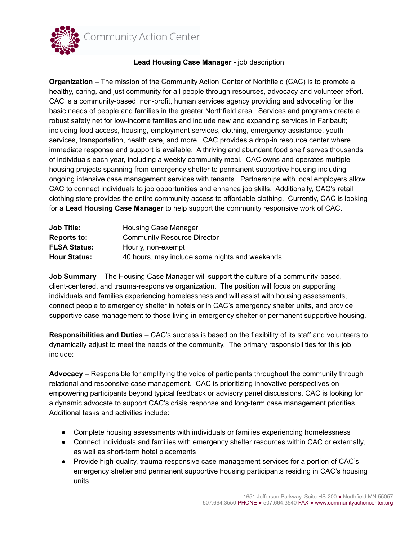

## **Lead Housing Case Manager** - job description

**Organization** – The mission of the Community Action Center of Northfield (CAC) is to promote a healthy, caring, and just community for all people through resources, advocacy and volunteer effort. CAC is a community-based, non-profit, human services agency providing and advocating for the basic needs of people and families in the greater Northfield area. Services and programs create a robust safety net for low-income families and include new and expanding services in Faribault; including food access, housing, employment services, clothing, emergency assistance, youth services, transportation, health care, and more. CAC provides a drop-in resource center where immediate response and support is available. A thriving and abundant food shelf serves thousands of individuals each year, including a weekly community meal. CAC owns and operates multiple housing projects spanning from emergency shelter to permanent supportive housing including ongoing intensive case management services with tenants. Partnerships with local employers allow CAC to connect individuals to job opportunities and enhance job skills. Additionally, CAC's retail clothing store provides the entire community access to affordable clothing. Currently, CAC is looking for a **Lead Housing Case Manager** to help support the community responsive work of CAC.

| <b>Job Title:</b>   | Housing Case Manager                           |
|---------------------|------------------------------------------------|
| <b>Reports to:</b>  | <b>Community Resource Director</b>             |
| <b>FLSA Status:</b> | Hourly, non-exempt                             |
| <b>Hour Status:</b> | 40 hours, may include some nights and weekends |

**Job Summary** – The Housing Case Manager will support the culture of a community-based, client-centered, and trauma-responsive organization. The position will focus on supporting individuals and families experiencing homelessness and will assist with housing assessments, connect people to emergency shelter in hotels or in CAC's emergency shelter units, and provide supportive case management to those living in emergency shelter or permanent supportive housing.

**Responsibilities and Duties** – CAC's success is based on the flexibility of its staff and volunteers to dynamically adjust to meet the needs of the community. The primary responsibilities for this job include:

**Advocacy** – Responsible for amplifying the voice of participants throughout the community through relational and responsive case management. CAC is prioritizing innovative perspectives on empowering participants beyond typical feedback or advisory panel discussions. CAC is looking for a dynamic advocate to support CAC's crisis response and long-term case management priorities. Additional tasks and activities include:

- Complete housing assessments with individuals or families experiencing homelessness
- Connect individuals and families with emergency shelter resources within CAC or externally, as well as short-term hotel placements
- Provide high-quality, trauma-responsive case management services for a portion of CAC's emergency shelter and permanent supportive housing participants residing in CAC's housing units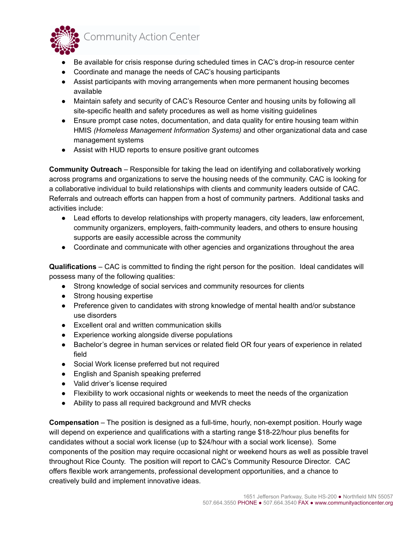

- Be available for crisis response during scheduled times in CAC's drop-in resource center
- Coordinate and manage the needs of CAC's housing participants
- Assist participants with moving arrangements when more permanent housing becomes available
- Maintain safety and security of CAC's Resource Center and housing units by following all site-specific health and safety procedures as well as home visiting guidelines
- Ensure prompt case notes, documentation, and data quality for entire housing team within HMIS *(Homeless Management Information Systems)* and other organizational data and case management systems
- Assist with HUD reports to ensure positive grant outcomes

**Community Outreach** – Responsible for taking the lead on identifying and collaboratively working across programs and organizations to serve the housing needs of the community. CAC is looking for a collaborative individual to build relationships with clients and community leaders outside of CAC. Referrals and outreach efforts can happen from a host of community partners. Additional tasks and activities include:

- Lead efforts to develop relationships with property managers, city leaders, law enforcement, community organizers, employers, faith-community leaders, and others to ensure housing supports are easily accessible across the community
- Coordinate and communicate with other agencies and organizations throughout the area

**Qualifications** – CAC is committed to finding the right person for the position. Ideal candidates will possess many of the following qualities:

- Strong knowledge of social services and community resources for clients
- Strong housing expertise
- Preference given to candidates with strong knowledge of mental health and/or substance use disorders
- Excellent oral and written communication skills
- Experience working alongside diverse populations
- Bachelor's degree in human services or related field OR four years of experience in related field
- Social Work license preferred but not required
- English and Spanish speaking preferred
- Valid driver's license required
- Flexibility to work occasional nights or weekends to meet the needs of the organization
- Ability to pass all required background and MVR checks

**Compensation** – The position is designed as a full-time, hourly, non-exempt position. Hourly wage will depend on experience and qualifications with a starting range \$18-22/hour plus benefits for candidates without a social work license (up to \$24/hour with a social work license). Some components of the position may require occasional night or weekend hours as well as possible travel throughout Rice County. The position will report to CAC's Community Resource Director. CAC offers flexible work arrangements, professional development opportunities, and a chance to creatively build and implement innovative ideas.